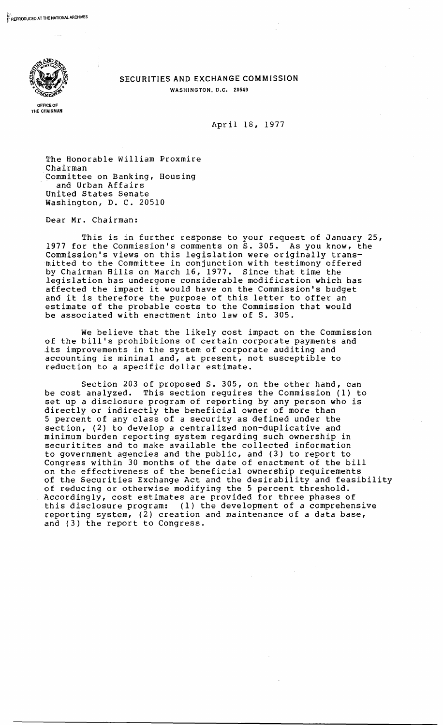

## SECURITIES AND EXCHANGE COMMISSION WASHINGTON, D.C. 20549

April 18, 1977

The Honorable William Proxmire Chairman Committee on Banking, Housing and Urban Affairs United States Senate Washington, D. C. 20510

Dear Mr. Chairman:

This is in further response to your request of January 25, 1977 for the Commission's comments on S. 305. As you know, the Commission's views on this legislation were originally transmitted to the Committee in conjunction with testimony offered by Chairman Hills on March 16, 1977. Since that time the legislation has undergone considerable modification which has affected the impact it would have on the Commission's budget and it is therefore the purpose of this letter to offer an estimate of the ptobable costs to the Commission that would be associated with enactment into law of S. 305.

We believe that the likely cost impact on the Commission of the bill's prohibitions of certain corporate payments and .its improvements in the system of corporate auditing and accounting is minimal and, at present, not susceptible to reduction to a specific dollar estimate.

Section 203 of proposed S. 305, on the other hand, can be cost analyzed. This section requires the Commission (1) to set up a disclosure program of reporting by any person who is directly or indirectly the beneficial owner of more than 5 percent of any class of a security as defined under the section, (2) to develop a centralized non-duplicative and minimum burden reporting system regarding such ownership in securitites and to make available the collected information to government agencies and the public, and (3) to report to Congress within 30 months of the date of enactment of the bill on the effectiveness of the beneficial ownership requirements of the Securities Exchange Act and the desirability and feasibility of reducing or otherwise modifying the 5 percent threshold. Accordingly, cost estimates are provided for three phases of this disclosure program: (1) the development of a comprehensive reporting system, (2) creation and maintenance of a data base, and (3) the report to Congress.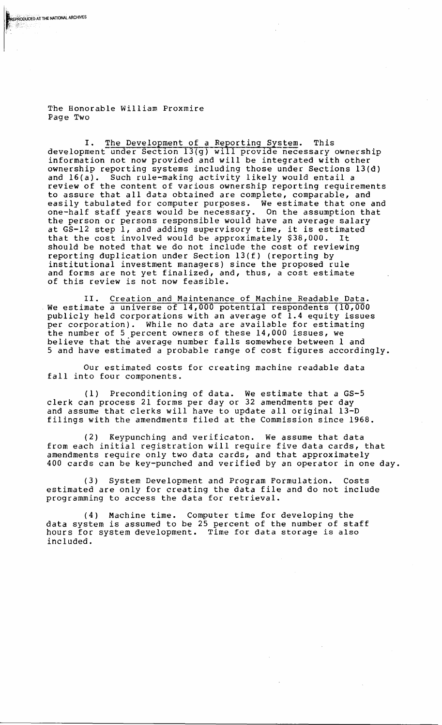The Honorable William Proxmire Page Two

EPRODUCED AT THE NATIONAL ARCHIVES

I. The Development of a Reporting System. This development under Section 13(g) will provide necessary ownership information not now provided and will be integrated with other ownership reporting systems including those under Sections 13(d) and 16(a). Such rule-making activity likely would entail a review of the content of various ownership reporting requirements to assure that all data obtained are complete, comparable, and easily tabulated for computer purposes. We estimate that one and one-half staff years would be necessary. On the assumption that the person or persons responsible would have an average salary at GS-12 step 1, and adding supervisory time, it is estimated that the cost involved would be approximately \$38,000. It should be noted that we do not include the cost of reviewing reporting duplication under Section 13(f) (reporting by institutional investment managers) since the proposed rule and forms are not yet finalized, and, thus, a cost estimate of this review is not now feasible.

II. Creation and Maintenance of Machine Readable Data. We estimate a universe of 14,000 potential respondents (10,000 publicly held corporations with an average of 1.4 equity issues per corporation). While no data are available for estimating the number of 5 percent owners of these 14,000 issues, we believe that the average number falls somewhere between 1 and 5 and have estimated a probable range of cost figures accordingly.

Our estimated costs for creating machine readable data fall into four components.

(1) Preconditioning of data. We estimate that a GS-5 clerk can process 21 forms per day or 32 amendments per day and assume that clerks will have to update all original 13-D filings with the amendments filed at the Commission since 1968.

(2) Keypunching and verificaton. We assume that data from each initial registration will require five data cards, that amendments require only two data cards, and that approximately 400 cards can be key-punched and verified by an operator in one day.

(3) System Development and Program Formulation. Costs estimated are only for creating the data file and do not include programming to access the data for retrieval.

(4) Machine time. Computer time for developing the data system is assumed to be 25 percent of the number of staff hours for system development. Time for data storage is also included.